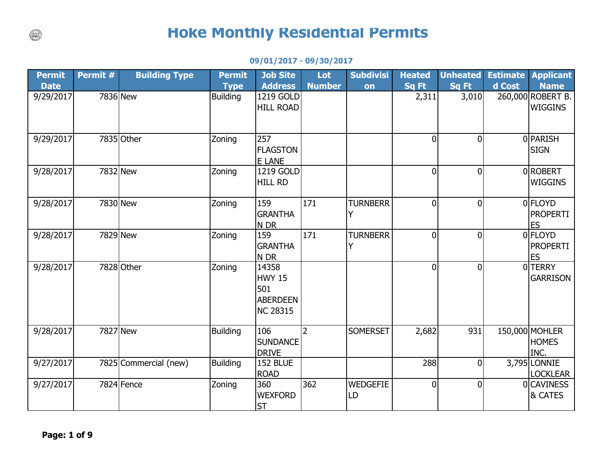## **Hoke Monthly Residential Permits**

## **09/01/2017 - 09/30/2017**

| <b>Permit</b> | Permit # | <b>Building Type</b>  | <b>Permit</b>   | <b>Job Site</b>  | Lot           | <b>Subdivisi</b> | <b>Heated</b>  | <b>Unheated</b> | <b>Estimate</b> | <b>Applicant</b>  |
|---------------|----------|-----------------------|-----------------|------------------|---------------|------------------|----------------|-----------------|-----------------|-------------------|
| <b>Date</b>   |          |                       | <b>Type</b>     | <b>Address</b>   | <b>Number</b> | on               | <b>Sq Ft</b>   | Sq Ft           | d Cost          | <b>Name</b>       |
| 9/29/2017     | 7836 New |                       | <b>Building</b> | 1219 GOLD        |               |                  | 2,311          | 3,010           |                 | 260,000 ROBERT B. |
|               |          |                       |                 | <b>HILL ROAD</b> |               |                  |                |                 |                 | <b>WIGGINS</b>    |
|               |          |                       |                 |                  |               |                  |                |                 |                 |                   |
| 9/29/2017     |          | 7835 Other            | Zoning          | 257              |               |                  | 0              | $\Omega$        |                 | 0PARISH           |
|               |          |                       |                 | <b>FLAGSTON</b>  |               |                  |                |                 |                 | <b>SIGN</b>       |
|               |          |                       |                 | E LANE           |               |                  |                |                 |                 |                   |
| 9/28/2017     | 7832 New |                       | Zoning          | 1219 GOLD        |               |                  | $\mathbf 0$    | $\overline{0}$  |                 | 0ROBERT           |
|               |          |                       |                 | <b>HILL RD</b>   |               |                  |                |                 |                 | <b>WIGGINS</b>    |
| 9/28/2017     | 7830 New |                       | Zoning          | 159              | 171           | <b>TURNBERR</b>  | $\overline{0}$ | $\Omega$        |                 | 0 FLOYD           |
|               |          |                       |                 | <b>GRANTHA</b>   |               | Y                |                |                 |                 | <b>PROPERTI</b>   |
|               |          |                       |                 | N DR             |               |                  |                |                 |                 | <b>ES</b>         |
| 9/28/2017     | 7829 New |                       | Zoning          | 159              | 171           | <b>TURNBERR</b>  | $\overline{0}$ | $\Omega$        |                 | <b>OFLOYD</b>     |
|               |          |                       |                 | <b>GRANTHA</b>   |               | Y                |                |                 |                 | <b>PROPERTI</b>   |
|               |          |                       |                 | N DR             |               |                  |                |                 |                 | <b>ES</b>         |
| 9/28/2017     |          | 7828 Other            | Zoning          | 14358            |               |                  | $\overline{0}$ | $\Omega$        |                 | 0TERRY            |
|               |          |                       |                 | HWY 15           |               |                  |                |                 |                 | <b>GARRISON</b>   |
|               |          |                       |                 | 501              |               |                  |                |                 |                 |                   |
|               |          |                       |                 | <b>ABERDEEN</b>  |               |                  |                |                 |                 |                   |
|               |          |                       |                 | NC 28315         |               |                  |                |                 |                 |                   |
| 9/28/2017     | 7827 New |                       | <b>Building</b> | 106              | 2             | <b>SOMERSET</b>  | 2,682          | 931             |                 | 150,000 MOHLER    |
|               |          |                       |                 | <b>SUNDANCE</b>  |               |                  |                |                 |                 | <b>HOMES</b>      |
|               |          |                       |                 | DRIVE            |               |                  |                |                 |                 | INC.              |
| 9/27/2017     |          | 7825 Commercial (new) | Building        | 152 BLUE         |               |                  | 288            | 0               |                 | 3,795 LONNIE      |
|               |          |                       |                 | <b>ROAD</b>      |               |                  |                |                 |                 | <b>LOCKLEAR</b>   |
| 9/27/2017     |          | 7824 Fence            | Zoning          | 360              | 362           | <b>WEDGEFIE</b>  | $\mathbf 0$    | $\Omega$        |                 | 0CAVINESS         |
|               |          |                       |                 | <b>WEXFORD</b>   |               | LD               |                |                 |                 | & CATES           |
|               |          |                       |                 | <b>ST</b>        |               |                  |                |                 |                 |                   |

 $\circledcirc$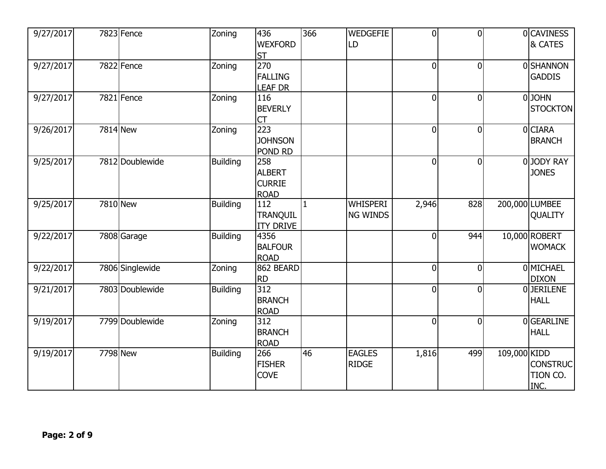| 9/27/2017 | 7823 Fence      | Zoning          | 436<br><b>WEXFORD</b>                                | 366          | <b>WEDGEFIE</b><br>LD         | $\overline{0}$ | $\overline{0}$ |              | 0CAVINESS<br>& CATES                |
|-----------|-----------------|-----------------|------------------------------------------------------|--------------|-------------------------------|----------------|----------------|--------------|-------------------------------------|
| 9/27/2017 | 7822 Fence      | Zoning          | <b>ST</b><br>270<br><b>FALLING</b><br><b>LEAF DR</b> |              |                               | $\overline{0}$ | $\mathbf 0$    |              | <b>OSHANNON</b><br><b>GADDIS</b>    |
| 9/27/2017 | 7821 Fence      | Zoning          | 116<br><b>BEVERLY</b><br>CT                          |              |                               | $\overline{0}$ | $\overline{0}$ |              | 0JOHN<br><b>STOCKTON</b>            |
| 9/26/2017 | 7814 New        | Zoning          | $\overline{223}$<br><b>JOHNSON</b><br>POND RD        |              |                               | $\overline{0}$ | $\overline{0}$ |              | 0CIARA<br><b>BRANCH</b>             |
| 9/25/2017 | 7812 Doublewide | Building        | 258<br><b>ALBERT</b><br><b>CURRIE</b><br><b>ROAD</b> |              |                               | $\overline{0}$ | $\overline{0}$ |              | 0JODY RAY<br><b>JONES</b>           |
| 9/25/2017 | 7810 New        | <b>Building</b> | 112<br>TRANQUIL<br><b>ITY DRIVE</b>                  | $\mathbf{1}$ | <b>WHISPERI</b><br>NG WINDS   | 2,946          | 828            |              | 200,000 LUMBEE<br>QUALITY           |
| 9/22/2017 | 7808 Garage     | <b>Building</b> | 4356<br><b>BALFOUR</b><br><b>ROAD</b>                |              |                               | $\overline{0}$ | 944            |              | 10,000 ROBERT<br><b>WOMACK</b>      |
| 9/22/2017 | 7806 Singlewide | Zoning          | 862 BEARD<br><b>RD</b>                               |              |                               | $\overline{0}$ | $\overline{0}$ |              | <b>OMICHAEL</b><br><b>DIXON</b>     |
| 9/21/2017 | 7803 Doublewide | <b>Building</b> | 312<br><b>BRANCH</b><br><b>ROAD</b>                  |              |                               | $\overline{0}$ | $\mathbf 0$    |              | 0JERILENE<br><b>HALL</b>            |
| 9/19/2017 | 7799 Doublewide | Zoning          | 312<br><b>BRANCH</b><br><b>ROAD</b>                  |              |                               | $\overline{0}$ | $\overline{0}$ |              | 0GEARLINE<br><b>HALL</b>            |
| 9/19/2017 | 7798 New        | <b>Building</b> | 266<br><b>FISHER</b><br><b>COVE</b>                  | 46           | <b>EAGLES</b><br><b>RIDGE</b> | 1,816          | 499            | 109,000 KIDD | <b>CONSTRUC</b><br>TION CO.<br>INC. |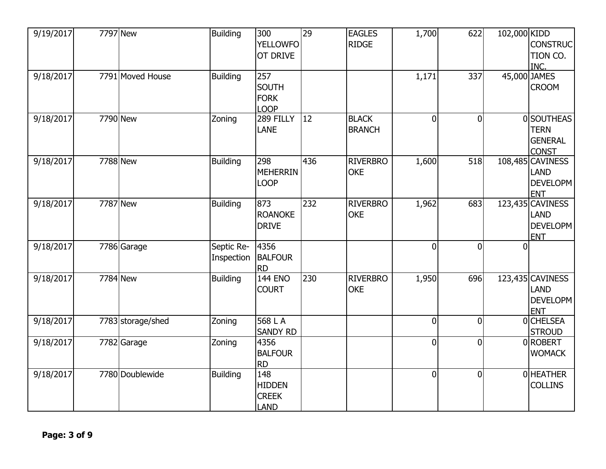| 9/19/2017 | <b>7797</b> New   | <b>Building</b>          | 300<br><b>YELLOWFO</b>                              | $\overline{29}$ | <b>EAGLES</b><br><b>RIDGE</b> | 1,700    | 622            | 102,000 KIDD | <b>CONSTRUC</b>                                                  |
|-----------|-------------------|--------------------------|-----------------------------------------------------|-----------------|-------------------------------|----------|----------------|--------------|------------------------------------------------------------------|
|           |                   |                          | <b>OT DRIVE</b>                                     |                 |                               |          |                |              | TION CO.<br>INC.                                                 |
| 9/18/2017 | 7791 Moved House  | <b>Building</b>          | 257<br><b>SOUTH</b><br><b>FORK</b><br><b>LOOP</b>   |                 |                               | 1,171    | 337            |              | 45,000 JAMES<br><b>CROOM</b>                                     |
| 9/18/2017 | 7790 New          | Zoning                   | 289 FILLY<br><b>LANE</b>                            | <b>12</b>       | <b>BLACK</b><br><b>BRANCH</b> | $\Omega$ | $\overline{0}$ |              | 0SOUTHEAS<br><b>TERN</b><br><b>GENERAL</b><br><b>CONST</b>       |
| 9/18/2017 | 7788 New          | <b>Building</b>          | 298<br><b>MEHERRIN</b><br><b>LOOP</b>               | 436             | <b>RIVERBRO</b><br><b>OKE</b> | 1,600    | 518            |              | 108,485 CAVINESS<br>LAND<br><b>DEVELOPM</b><br><b>ENT</b>        |
| 9/18/2017 | 7787 New          | <b>Building</b>          | 873<br>ROANOKE<br><b>DRIVE</b>                      | 232             | <b>RIVERBRO</b><br><b>OKE</b> | 1,962    | 683            |              | 123,435 CAVINESS<br><b>LAND</b><br><b>DEVELOPM</b><br><b>ENT</b> |
| 9/18/2017 | 7786 Garage       | Septic Re-<br>Inspection | 4356<br><b>BALFOUR</b><br><b>RD</b>                 |                 |                               | $\Omega$ | $\overline{0}$ | $\Omega$     |                                                                  |
| 9/18/2017 | 7784 New          | <b>Building</b>          | <b>144 ENO</b><br><b>COURT</b>                      | 230             | <b>RIVERBRO</b><br><b>OKE</b> | 1,950    | 696            |              | 123,435 CAVINESS<br><b>LAND</b><br><b>DEVELOPM</b><br><b>ENT</b> |
| 9/18/2017 | 7783 storage/shed | Zoning                   | 568 L A<br><b>SANDY RD</b>                          |                 |                               | $\Omega$ | $\mathbf 0$    |              | 0CHELSEA<br><b>STROUD</b>                                        |
| 9/18/2017 | 7782 Garage       | Zoning                   | 4356<br><b>BALFOUR</b><br><b>RD</b>                 |                 |                               | $\Omega$ | $\overline{0}$ |              | 0ROBERT<br><b>WOMACK</b>                                         |
| 9/18/2017 | 7780 Doublewide   | <b>Building</b>          | 148<br><b>HIDDEN</b><br><b>CREEK</b><br><b>LAND</b> |                 |                               | $\Omega$ | $\overline{0}$ |              | 0 HEATHER<br><b>COLLINS</b>                                      |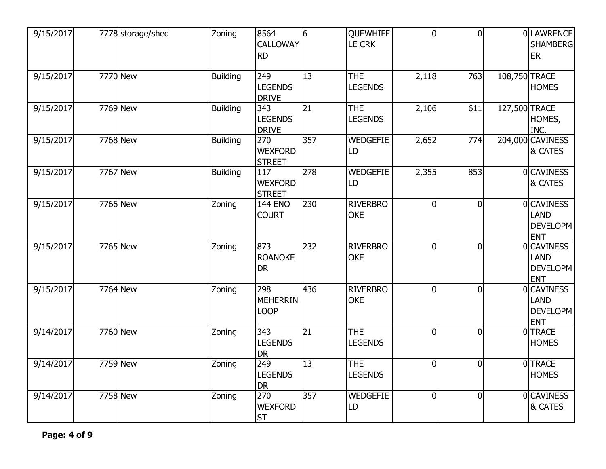| 9/15/2017 | 7778 storage/shed | Zoning          | 8564<br><b>CALLOWAY</b><br><b>RD</b>   | 6   | <b>QUEWHIFF</b><br><b>LE CRK</b> | $\overline{0}$ | $\overline{0}$ |               | 0 LAWRENCE<br><b>SHAMBERG</b><br>ER                        |
|-----------|-------------------|-----------------|----------------------------------------|-----|----------------------------------|----------------|----------------|---------------|------------------------------------------------------------|
| 9/15/2017 | 7770 New          | <b>Building</b> | 249<br><b>LEGENDS</b><br><b>DRIVE</b>  | 13  | <b>THE</b><br><b>LEGENDS</b>     | 2,118          | 763            | 108,750 TRACE | <b>HOMES</b>                                               |
| 9/15/2017 | 7769 New          | <b>Building</b> | 343<br><b>LEGENDS</b><br><b>DRIVE</b>  | 21  | <b>THE</b><br><b>LEGENDS</b>     | 2,106          | 611            | 127,500 TRACE | HOMES,<br>INC.                                             |
| 9/15/2017 | 7768 New          | <b>Building</b> | 270<br><b>WEXFORD</b><br><b>STREET</b> | 357 | <b>WEDGEFIE</b><br>LD            | 2,652          | 774            |               | 204,000 CAVINESS<br>& CATES                                |
| 9/15/2017 | 7767 New          | <b>Building</b> | 117<br><b>WEXFORD</b><br><b>STREET</b> | 278 | <b>WEDGEFIE</b><br>LD            | 2,355          | 853            |               | 0CAVINESS<br>& CATES                                       |
| 9/15/2017 | 7766 New          | Zoning          | <b>144 ENO</b><br><b>COURT</b>         | 230 | <b>RIVERBRO</b><br><b>OKE</b>    | $\overline{0}$ | $\overline{0}$ |               | <b>OCAVINESS</b><br>LAND<br><b>DEVELOPM</b><br><b>ENT</b>  |
| 9/15/2017 | 7765 New          | Zoning          | 873<br><b>ROANOKE</b><br><b>DR</b>     | 232 | <b>RIVERBRO</b><br><b>OKE</b>    | $\overline{0}$ | $\overline{0}$ |               | 0 CAVINESS<br><b>LAND</b><br><b>DEVELOPM</b><br><b>ENT</b> |
| 9/15/2017 | 7764 New          | Zoning          | 298<br><b>MEHERRIN</b><br><b>LOOP</b>  | 436 | <b>RIVERBRO</b><br><b>OKE</b>    | $\overline{0}$ | $\overline{0}$ |               | 0 CAVINESS<br><b>LAND</b><br><b>DEVELOPM</b><br><b>ENT</b> |
| 9/14/2017 | 7760 New          | Zoning          | 343<br><b>LEGENDS</b><br><b>DR</b>     | 21  | <b>THE</b><br><b>LEGENDS</b>     | $\overline{0}$ | $\overline{0}$ |               | 0TRACE<br><b>HOMES</b>                                     |
| 9/14/2017 | 7759 New          | Zoning          | 249<br><b>LEGENDS</b><br><b>DR</b>     | 13  | <b>THE</b><br><b>LEGENDS</b>     | $\overline{0}$ | $\overline{0}$ |               | <b>OTRACE</b><br><b>HOMES</b>                              |
| 9/14/2017 | 7758 New          | Zoning          | 270<br><b>WEXFORD</b><br><b>ST</b>     | 357 | <b>WEDGEFIE</b><br>LD            | $\overline{0}$ | $\overline{0}$ |               | 0CAVINESS<br>& CATES                                       |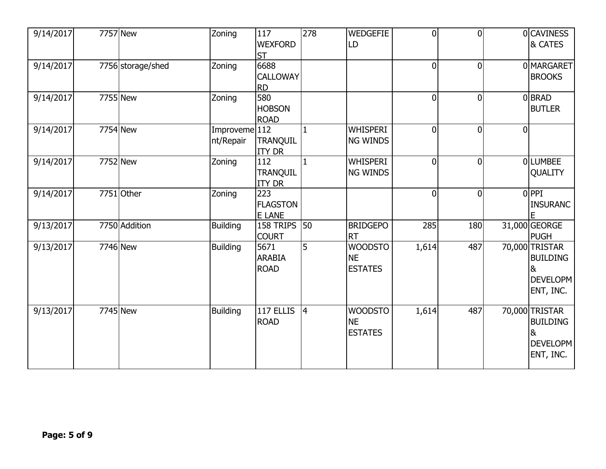| 9/14/2017 | 7757 New               | Zoning                     | 117<br><b>WEXFORD</b><br><b>ST</b>      | 278            | <b>WEDGEFIE</b><br>LD                         | $\overline{0}$ | $\overline{0}$ |   | <b>OCAVINESS</b><br>& CATES                                     |
|-----------|------------------------|----------------------------|-----------------------------------------|----------------|-----------------------------------------------|----------------|----------------|---|-----------------------------------------------------------------|
| 9/14/2017 | 7756 storage/shed      | Zoning                     | 6688<br><b>CALLOWAY</b><br><b>RD</b>    |                |                                               | $\overline{0}$ | $\overline{0}$ |   | 0MARGARET<br><b>BROOKS</b>                                      |
| 9/14/2017 | 7755 New               | Zoning                     | 580<br><b>HOBSON</b><br><b>ROAD</b>     |                |                                               | $\overline{0}$ | $\overline{0}$ |   | 0BRAD<br><b>BUTLER</b>                                          |
| 9/14/2017 | 7754 New               | Improveme 112<br>nt/Repair | <b>TRANQUIL</b><br><b>ITY DR</b>        | $\mathbf{1}$   | <b>WHISPERI</b><br><b>NG WINDS</b>            | $\overline{0}$ | $\overline{0}$ | 0 |                                                                 |
| 9/14/2017 | 7752 New               | Zoning                     | 112<br><b>TRANQUIL</b><br><b>ITY DR</b> | $\mathbf{1}$   | <b>WHISPERI</b><br>NG WINDS                   | $\overline{0}$ | $\overline{0}$ |   | OLLUMBEE<br>QUALITY                                             |
| 9/14/2017 | 7751 Other             | Zoning                     | 223<br><b>FLAGSTON</b><br><b>E LANE</b> |                |                                               | $\overline{0}$ | $\overline{0}$ |   | 0PPI<br><b>INSURANC</b>                                         |
| 9/13/2017 | 7750 Addition          | <b>Building</b>            | 158 TRIPS<br><b>COURT</b>               | 50             | <b>BRIDGEPO</b><br><b>RT</b>                  | 285            | 180            |   | 31,000 GEORGE<br><b>PUGH</b>                                    |
| 9/13/2017 | 7746 New               | Building                   | 5671<br><b>ARABIA</b><br><b>ROAD</b>    | 5              | <b>WOODSTO</b><br><b>NE</b><br><b>ESTATES</b> | 1,614          | 487            |   | 70,000 TRISTAR<br><b>BUILDING</b><br>&<br>DEVELOPM<br>ENT, INC. |
| 9/13/2017 | $\overline{77}$ 45 New | <b>Building</b>            | 117 ELLIS<br><b>ROAD</b>                | $\overline{4}$ | <b>WOODSTO</b><br><b>NE</b><br><b>ESTATES</b> | 1,614          | 487            |   | 70,000 TRISTAR<br><b>BUILDING</b><br>&<br>DEVELOPM<br>ENT, INC. |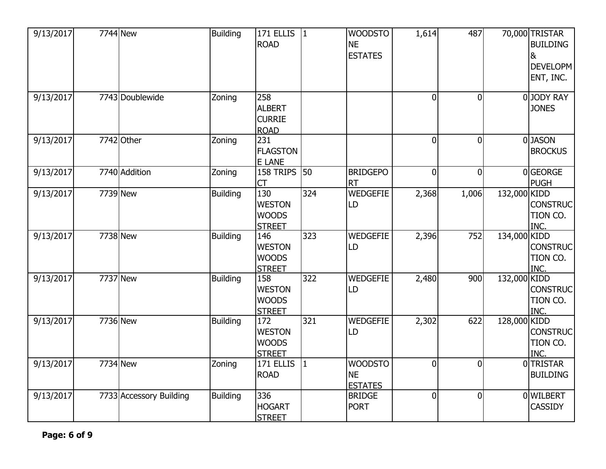| 9/13/2017              | 7744 New                | <b>Building</b> | 171 ELLIS<br>ROAD                                     | $ 1\rangle$  | <b>WOODSTO</b><br><b>NE</b><br><b>ESTATES</b> | 1,614          | 487            |              | 70,000 TRISTAR<br><b>BUILDING</b><br>&<br>DEVELOPM<br>ENT, INC. |
|------------------------|-------------------------|-----------------|-------------------------------------------------------|--------------|-----------------------------------------------|----------------|----------------|--------------|-----------------------------------------------------------------|
| 9/13/2017              | 7743 Doublewide         | Zoning          | 258<br><b>ALBERT</b><br><b>CURRIE</b><br><b>ROAD</b>  |              |                                               | $\overline{0}$ | $\overline{0}$ |              | 0JODY RAY<br><b>JONES</b>                                       |
| 9/13/2017              | 7742 Other              | Zoning          | 231<br><b>FLAGSTON</b><br>E LANE                      |              |                                               | $\overline{0}$ | $\overline{0}$ |              | 0JASON<br><b>BROCKUS</b>                                        |
| 9/13/2017              | 7740 Addition           | Zoning          | 158 TRIPS<br><b>CT</b>                                | 50           | <b>BRIDGEPO</b><br><b>RT</b>                  | $\overline{0}$ | $\overline{0}$ |              | 0GEORGE<br><b>PUGH</b>                                          |
| $\overline{9}/13/2017$ | 7739 New                | <b>Building</b> | 130<br><b>WESTON</b><br><b>WOODS</b><br><b>STREET</b> | 324          | <b>WEDGEFIE</b><br>LD                         | 2,368          | 1,006          | 132,000 KIDD | <b>CONSTRUC</b><br>TION CO.<br>INC.                             |
| 9/13/2017              | 7738 New                | <b>Building</b> | 146<br><b>WESTON</b><br><b>WOODS</b><br><b>STREET</b> | 323          | <b>WEDGEFIE</b><br>LD                         | 2,396          | 752            | 134,000 KIDD | <b>CONSTRUC</b><br>TION CO.<br>INC.                             |
| 9/13/2017              | 7737 New                | <b>Building</b> | 158<br><b>WESTON</b><br><b>WOODS</b><br><b>STREET</b> | 322          | <b>WEDGEFIE</b><br>LD                         | 2,480          | 900            | 132,000 KIDD | <b>CONSTRUC</b><br>TION CO.<br>INC.                             |
| 9/13/2017              | 7736 New                | <b>Building</b> | 172<br><b>WESTON</b><br><b>WOODS</b><br><b>STREET</b> | 321          | <b>WEDGEFIE</b><br>LD                         | 2,302          | 622            | 128,000 KIDD | <b>CONSTRUC</b><br>TION CO.<br>INC.                             |
| 9/13/2017              | 7734 New                | Zoning          | 171 ELLIS<br>ROAD                                     | $\mathbf{1}$ | <b>WOODSTO</b><br><b>NE</b><br><b>ESTATES</b> | $\overline{0}$ | $\overline{0}$ |              | 0TRISTAR<br><b>BUILDING</b>                                     |
| 9/13/2017              | 7733 Accessory Building | <b>Building</b> | 336<br>HOGART<br><b>STREET</b>                        |              | <b>BRIDGE</b><br><b>PORT</b>                  | $\overline{0}$ | 0              |              | 0 WILBERT<br><b>CASSIDY</b>                                     |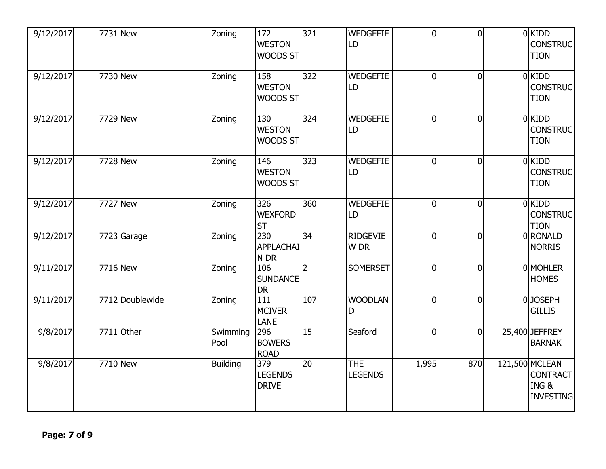| 9/12/2017 | 7731 New        | Zoning           | 172<br><b>WESTON</b><br>WOODS ST      | 321            | <b>WEDGEFIE</b><br>LD        | $\overline{0}$ | $\overline{0}$ | $0$ KIDD<br><b>CONSTRUC</b><br><b>TION</b>                     |
|-----------|-----------------|------------------|---------------------------------------|----------------|------------------------------|----------------|----------------|----------------------------------------------------------------|
| 9/12/2017 | 7730 New        | Zoning           | 158<br><b>WESTON</b><br>WOODS ST      | 322            | <b>WEDGEFIE</b><br>LD        | $\overline{0}$ | $\overline{0}$ | $0$ KIDD<br><b>CONSTRUC</b><br><b>TION</b>                     |
| 9/12/2017 | 7729 New        | Zoning           | 130<br><b>WESTON</b><br>WOODS ST      | 324            | <b>WEDGEFIE</b><br>LD        | $\overline{0}$ | $\overline{0}$ | $0$ KIDD<br><b>CONSTRUC</b><br><b>TION</b>                     |
| 9/12/2017 | 7728 New        | Zoning           | 146<br><b>WESTON</b><br>WOODS ST      | 323            | <b>WEDGEFIE</b><br>LD        | $\overline{0}$ | $\overline{0}$ | $0$ KIDD<br><b>CONSTRUC</b><br><b>TION</b>                     |
| 9/12/2017 | 7727 New        | Zoning           | 326<br><b>WEXFORD</b><br><b>ST</b>    | 360            | <b>WEDGEFIE</b><br>LD        | $\overline{0}$ | $\overline{0}$ | $0$ KIDD<br><b>CONSTRUC</b><br><b>TION</b>                     |
| 9/12/2017 | 7723 Garage     | Zoning           | 230<br><b>APPLACHAI</b><br>N DR       | 34             | <b>RIDGEVIE</b><br>W DR      | $\overline{0}$ | $\overline{0}$ | 0RONALD<br><b>NORRIS</b>                                       |
| 9/11/2017 | 7716 New        | Zoning           | 106<br><b>SUNDANCE</b><br><b>DR</b>   | $\overline{2}$ | <b>SOMERSET</b>              | $\overline{0}$ | $\overline{0}$ | 0 MOHLER<br><b>HOMES</b>                                       |
| 9/11/2017 | 7712 Doublewide | Zoning           | 111<br><b>MCIVER</b><br><b>LANE</b>   | 107            | <b>WOODLAN</b><br>D          | $\overline{0}$ | $\overline{0}$ | 0JOSEPH<br><b>GILLIS</b>                                       |
| 9/8/2017  | 7711 Other      | Swimming<br>Pool | 296<br><b>BOWERS</b><br><b>ROAD</b>   | 15             | Seaford                      | $\overline{0}$ | $\overline{0}$ | 25,400 JEFFREY<br><b>BARNAK</b>                                |
| 9/8/2017  | 7710 New        | <b>Building</b>  | 379<br><b>LEGENDS</b><br><b>DRIVE</b> | 20             | <b>THE</b><br><b>LEGENDS</b> | 1,995          | 870            | 121,500 MCLEAN<br><b>CONTRACT</b><br>ING &<br><b>INVESTING</b> |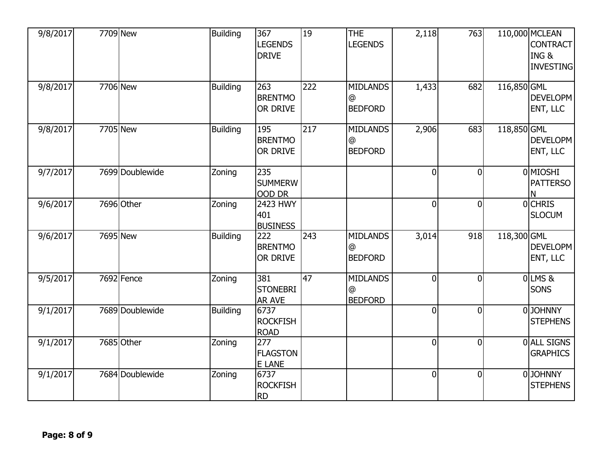| 9/8/2017 | 7709 New        | <b>Building</b> | 367<br><b>LEGENDS</b><br><b>DRIVE</b>   | 19  | <b>THE</b><br><b>LEGENDS</b>           | 2,118          | 763            |             | 110,000 MCLEAN<br><b>CONTRACT</b><br>ING&<br><b>INVESTING</b> |
|----------|-----------------|-----------------|-----------------------------------------|-----|----------------------------------------|----------------|----------------|-------------|---------------------------------------------------------------|
| 9/8/2017 | 7706 New        | <b>Building</b> | 263<br><b>BRENTMO</b><br>OR DRIVE       | 222 | <b>MIDLANDS</b><br>@<br><b>BEDFORD</b> | 1,433          | 682            | 116,850 GML | DEVELOPM<br>ENT, LLC                                          |
| 9/8/2017 | 7705 New        | <b>Building</b> | 195<br><b>BRENTMO</b><br>OR DRIVE       | 217 | <b>MIDLANDS</b><br>@<br><b>BEDFORD</b> | 2,906          | 683            | 118,850 GML | DEVELOPM<br>ENT, LLC                                          |
| 9/7/2017 | 7699 Doublewide | Zoning          | 235<br><b>SUMMERW</b><br>OOD DR         |     |                                        | $\overline{0}$ | $\overline{0}$ |             | 0 <sup>MIOSHI</sup><br><b>PATTERSO</b><br>N                   |
| 9/6/2017 | 7696 Other      | Zoning          | 2423 HWY<br>401<br><b>BUSINESS</b>      |     |                                        | $\overline{0}$ | $\overline{0}$ |             | 0CHRIS<br><b>SLOCUM</b>                                       |
| 9/6/2017 | 7695 New        | <b>Building</b> | 222<br><b>BRENTMO</b><br>OR DRIVE       | 243 | <b>MIDLANDS</b><br>@<br><b>BEDFORD</b> | 3,014          | 918            | 118,300 GML | DEVELOPM<br>ENT, LLC                                          |
| 9/5/2017 | 7692 Fence      | Zoning          | 381<br><b>STONEBRI</b><br><b>AR AVE</b> | 47  | <b>MIDLANDS</b><br>@<br><b>BEDFORD</b> | $\overline{0}$ | $\overline{0}$ |             | $0$ LMS&<br><b>SONS</b>                                       |
| 9/1/2017 | 7689 Doublewide | <b>Building</b> | 6737<br><b>ROCKFISH</b><br><b>ROAD</b>  |     |                                        | $\overline{0}$ | $\overline{0}$ |             | 0JOHNNY<br><b>STEPHENS</b>                                    |
| 9/1/2017 | 7685 Other      | Zoning          | 277<br><b>FLAGSTON</b><br>E LANE        |     |                                        | $\overline{0}$ | $\overline{0}$ |             | 0 ALL SIGNS<br><b>GRAPHICS</b>                                |
| 9/1/2017 | 7684 Doublewide | Zoning          | 6737<br><b>ROCKFISH</b><br><b>RD</b>    |     |                                        | $\overline{0}$ | $\mathbf 0$    |             | 0JOHNNY<br><b>STEPHENS</b>                                    |